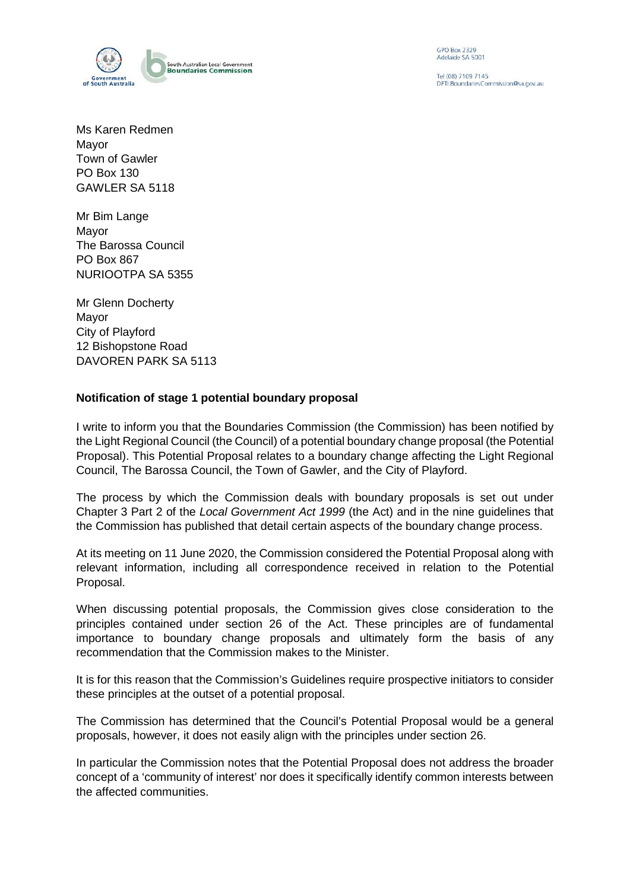

GPO Box 2329 Adelaide SA 5001

Tel (08) 7109 7145 DPTLBoundariesCommission@sa.gov.au

Ms Karen Redmen Mayor Town of Gawler PO Box 130 GAWLER SA 5118

Mr Bim Lange Mayor The Barossa Council PO Box 867 NURIOOTPA SA 5355

Mr Glenn Docherty Mayor City of Playford 12 Bishopstone Road DAVOREN PARK SA 5113

## **Notification of stage 1 potential boundary proposal**

I write to inform you that the Boundaries Commission (the Commission) has been notified by the Light Regional Council (the Council) of a potential boundary change proposal (the Potential Proposal). This Potential Proposal relates to a boundary change affecting the Light Regional Council, The Barossa Council, the Town of Gawler, and the City of Playford.

The process by which the Commission deals with boundary proposals is set out under Chapter 3 Part 2 of the *Local Government Act 1999* (the Act) and in the nine guidelines that the Commission has published that detail certain aspects of the boundary change process.

At its meeting on 11 June 2020, the Commission considered the Potential Proposal along with relevant information, including all correspondence received in relation to the Potential Proposal.

When discussing potential proposals, the Commission gives close consideration to the principles contained under section 26 of the Act. These principles are of fundamental importance to boundary change proposals and ultimately form the basis of any recommendation that the Commission makes to the Minister.

It is for this reason that the Commission's Guidelines require prospective initiators to consider these principles at the outset of a potential proposal.

The Commission has determined that the Council's Potential Proposal would be a general proposals, however, it does not easily align with the principles under section 26.

In particular the Commission notes that the Potential Proposal does not address the broader concept of a 'community of interest' nor does it specifically identify common interests between the affected communities.